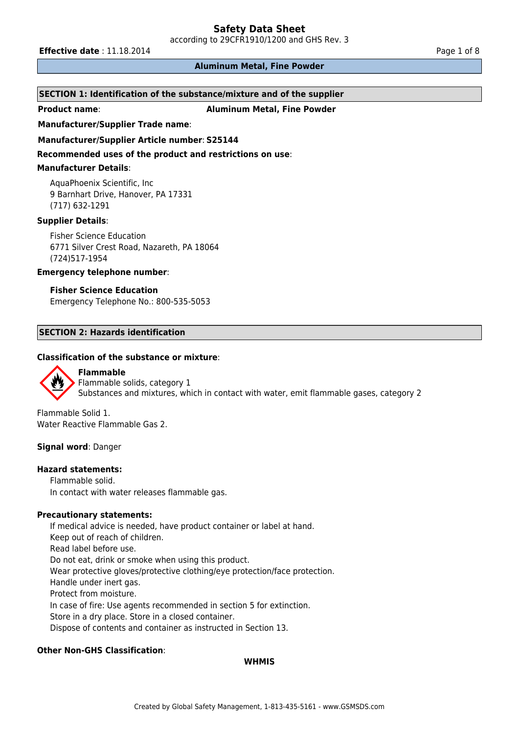according to 29CFR1910/1200 and GHS Rev. 3

**Effective date** : 11.18.2014 **Page 1 of 8 Page 1 of 8** 

# **Aluminum Metal, Fine Powder**

# **SECTION 1: Identification of the substance/mixture and of the supplier**

**Product name**: **Aluminum Metal, Fine Powder**

#### **Manufacturer/Supplier Trade name**:

#### **Manufacturer/Supplier Article number**: **S25144**

**Recommended uses of the product and restrictions on use**:

#### **Manufacturer Details**:

AquaPhoenix Scientific, Inc 9 Barnhart Drive, Hanover, PA 17331 (717) 632-1291

### **Supplier Details**:

Fisher Science Education 6771 Silver Crest Road, Nazareth, PA 18064 (724)517-1954

#### **Emergency telephone number**:

#### **Fisher Science Education**

Emergency Telephone No.: 800-535-5053

# **SECTION 2: Hazards identification**

# **Classification of the substance or mixture**:



**Flammable** Flammable solids, category 1 Substances and mixtures, which in contact with water, emit flammable gases, category 2

Flammable Solid 1. Water Reactive Flammable Gas 2.

#### **Signal word**: Danger

#### **Hazard statements:**

Flammable solid. In contact with water releases flammable gas.

### **Precautionary statements:**

If medical advice is needed, have product container or label at hand. Keep out of reach of children. Read label before use. Do not eat, drink or smoke when using this product. Wear protective gloves/protective clothing/eye protection/face protection. Handle under inert gas. Protect from moisture. In case of fire: Use agents recommended in section 5 for extinction. Store in a dry place. Store in a closed container. Dispose of contents and container as instructed in Section 13.

# **Other Non-GHS Classification**:

#### **WHMIS**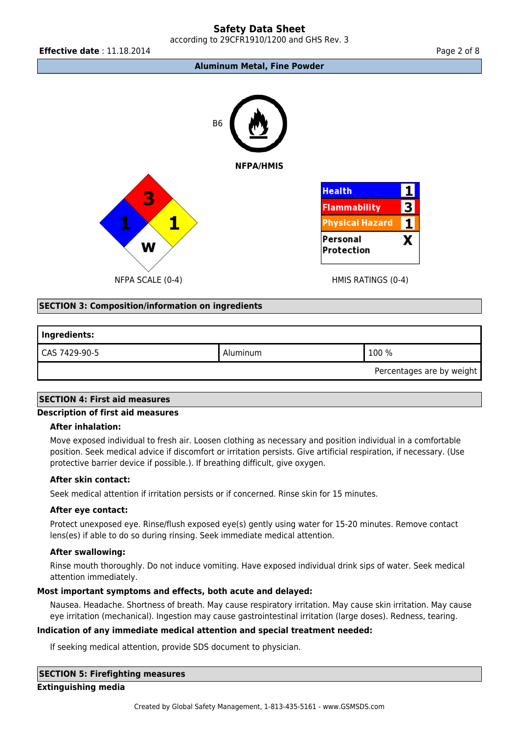according to 29CFR1910/1200 and GHS Rev. 3

**Effective date** : 11.18.2014 **Page 2 of 8 Page 2 of 8** 





NFPA SCALE (0-4) THE RATINGS (0-4)

# **SECTION 3: Composition/information on ingredients**

| Ingredients:  |          |       |  |  |  |
|---------------|----------|-------|--|--|--|
| CAS 7429-90-5 | Aluminum | 100 % |  |  |  |

Percentages are by weight

# **SECTION 4: First aid measures**

# **Description of first aid measures**

# **After inhalation:**

Move exposed individual to fresh air. Loosen clothing as necessary and position individual in a comfortable position. Seek medical advice if discomfort or irritation persists. Give artificial respiration, if necessary. (Use protective barrier device if possible.). If breathing difficult, give oxygen.

#### **After skin contact:**

Seek medical attention if irritation persists or if concerned. Rinse skin for 15 minutes.

#### **After eye contact:**

Protect unexposed eye. Rinse/flush exposed eye(s) gently using water for 15-20 minutes. Remove contact lens(es) if able to do so during rinsing. Seek immediate medical attention.

#### **After swallowing:**

Rinse mouth thoroughly. Do not induce vomiting. Have exposed individual drink sips of water. Seek medical attention immediately.

# **Most important symptoms and effects, both acute and delayed:**

Nausea. Headache. Shortness of breath. May cause respiratory irritation. May cause skin irritation. May cause eye irritation (mechanical). Ingestion may cause gastrointestinal irritation (large doses). Redness, tearing.

# **Indication of any immediate medical attention and special treatment needed:**

If seeking medical attention, provide SDS document to physician.

**SECTION 5: Firefighting measures**

**Extinguishing media**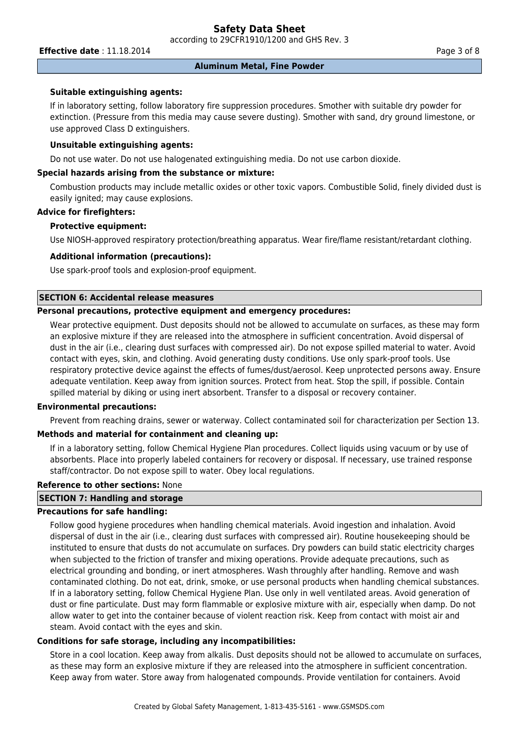according to 29CFR1910/1200 and GHS Rev. 3

**Effective date** : 11.18.2014 **Page 3 of 8** 

#### **Aluminum Metal, Fine Powder**

#### **Suitable extinguishing agents:**

If in laboratory setting, follow laboratory fire suppression procedures. Smother with suitable dry powder for extinction. (Pressure from this media may cause severe dusting). Smother with sand, dry ground limestone, or use approved Class D extinguishers.

#### **Unsuitable extinguishing agents:**

Do not use water. Do not use halogenated extinguishing media. Do not use carbon dioxide.

# **Special hazards arising from the substance or mixture:**

Combustion products may include metallic oxides or other toxic vapors. Combustible Solid, finely divided dust is easily ignited; may cause explosions.

# **Advice for firefighters:**

# **Protective equipment:**

Use NIOSH-approved respiratory protection/breathing apparatus. Wear fire/flame resistant/retardant clothing.

# **Additional information (precautions):**

Use spark-proof tools and explosion-proof equipment.

# **SECTION 6: Accidental release measures**

# **Personal precautions, protective equipment and emergency procedures:**

Wear protective equipment. Dust deposits should not be allowed to accumulate on surfaces, as these may form an explosive mixture if they are released into the atmosphere in sufficient concentration. Avoid dispersal of dust in the air (i.e., clearing dust surfaces with compressed air). Do not expose spilled material to water. Avoid contact with eyes, skin, and clothing. Avoid generating dusty conditions. Use only spark-proof tools. Use respiratory protective device against the effects of fumes/dust/aerosol. Keep unprotected persons away. Ensure adequate ventilation. Keep away from ignition sources. Protect from heat. Stop the spill, if possible. Contain spilled material by diking or using inert absorbent. Transfer to a disposal or recovery container.

#### **Environmental precautions:**

Prevent from reaching drains, sewer or waterway. Collect contaminated soil for characterization per Section 13.

#### **Methods and material for containment and cleaning up:**

If in a laboratory setting, follow Chemical Hygiene Plan procedures. Collect liquids using vacuum or by use of absorbents. Place into properly labeled containers for recovery or disposal. If necessary, use trained response staff/contractor. Do not expose spill to water. Obey local regulations.

#### **Reference to other sections:** None

#### **SECTION 7: Handling and storage**

### **Precautions for safe handling:**

Follow good hygiene procedures when handling chemical materials. Avoid ingestion and inhalation. Avoid dispersal of dust in the air (i.e., clearing dust surfaces with compressed air). Routine housekeeping should be instituted to ensure that dusts do not accumulate on surfaces. Dry powders can build static electricity charges when subjected to the friction of transfer and mixing operations. Provide adequate precautions, such as electrical grounding and bonding, or inert atmospheres. Wash throughly after handling. Remove and wash contaminated clothing. Do not eat, drink, smoke, or use personal products when handling chemical substances. If in a laboratory setting, follow Chemical Hygiene Plan. Use only in well ventilated areas. Avoid generation of dust or fine particulate. Dust may form flammable or explosive mixture with air, especially when damp. Do not allow water to get into the container because of violent reaction risk. Keep from contact with moist air and steam. Avoid contact with the eyes and skin.

# **Conditions for safe storage, including any incompatibilities:**

Store in a cool location. Keep away from alkalis. Dust deposits should not be allowed to accumulate on surfaces, as these may form an explosive mixture if they are released into the atmosphere in sufficient concentration. Keep away from water. Store away from halogenated compounds. Provide ventilation for containers. Avoid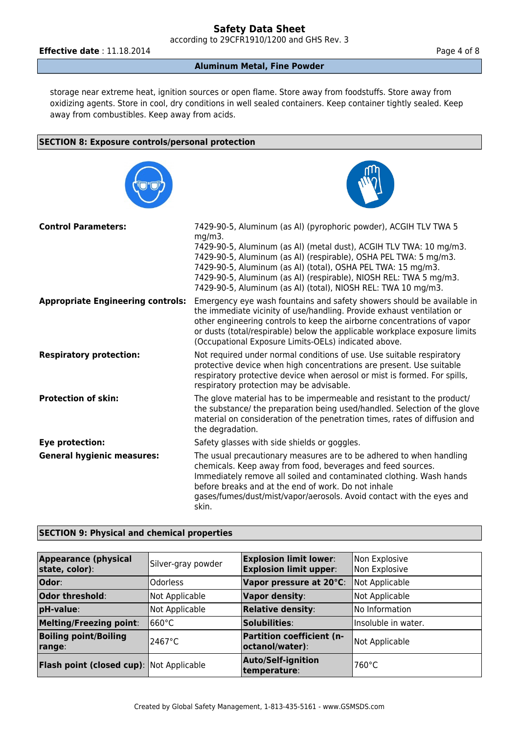according to 29CFR1910/1200 and GHS Rev. 3

**Effective date** : 11.18.2014 **Page 4 of 8** 

# **Aluminum Metal, Fine Powder**

storage near extreme heat, ignition sources or open flame. Store away from foodstuffs. Store away from oxidizing agents. Store in cool, dry conditions in well sealed containers. Keep container tightly sealed. Keep away from combustibles. Keep away from acids.

# **SECTION 8: Exposure controls/personal protection**





| <b>Control Parameters:</b>               | 7429-90-5, Aluminum (as Al) (pyrophoric powder), ACGIH TLV TWA 5<br>$mg/m3$ .<br>7429-90-5, Aluminum (as Al) (metal dust), ACGIH TLV TWA: 10 mg/m3.<br>7429-90-5, Aluminum (as Al) (respirable), OSHA PEL TWA: 5 mg/m3.<br>7429-90-5, Aluminum (as Al) (total), OSHA PEL TWA: 15 mg/m3.<br>7429-90-5, Aluminum (as Al) (respirable), NIOSH REL: TWA 5 mg/m3.<br>7429-90-5, Aluminum (as Al) (total), NIOSH REL: TWA 10 mg/m3. |
|------------------------------------------|-------------------------------------------------------------------------------------------------------------------------------------------------------------------------------------------------------------------------------------------------------------------------------------------------------------------------------------------------------------------------------------------------------------------------------|
| <b>Appropriate Engineering controls:</b> | Emergency eye wash fountains and safety showers should be available in<br>the immediate vicinity of use/handling. Provide exhaust ventilation or<br>other engineering controls to keep the airborne concentrations of vapor<br>or dusts (total/respirable) below the applicable workplace exposure limits<br>(Occupational Exposure Limits-OELs) indicated above.                                                             |
| <b>Respiratory protection:</b>           | Not required under normal conditions of use. Use suitable respiratory<br>protective device when high concentrations are present. Use suitable<br>respiratory protective device when aerosol or mist is formed. For spills,<br>respiratory protection may be advisable.                                                                                                                                                        |
| <b>Protection of skin:</b>               | The glove material has to be impermeable and resistant to the product/<br>the substance/ the preparation being used/handled. Selection of the glove<br>material on consideration of the penetration times, rates of diffusion and<br>the degradation.                                                                                                                                                                         |
| Eye protection:                          | Safety glasses with side shields or goggles.                                                                                                                                                                                                                                                                                                                                                                                  |
| <b>General hygienic measures:</b>        | The usual precautionary measures are to be adhered to when handling<br>chemicals. Keep away from food, beverages and feed sources.<br>Immediately remove all soiled and contaminated clothing. Wash hands<br>before breaks and at the end of work. Do not inhale<br>gases/fumes/dust/mist/vapor/aerosols. Avoid contact with the eyes and<br>skin.                                                                            |

# **SECTION 9: Physical and chemical properties**

| <b>Appearance (physical</b><br>state, color):   | Silver-gray powder | <b>Explosion limit lower:</b><br><b>Explosion limit upper:</b> | Non Explosive<br>Non Explosive |
|-------------------------------------------------|--------------------|----------------------------------------------------------------|--------------------------------|
| Odor:                                           | <b>Odorless</b>    | Vapor pressure at 20°C:                                        | Not Applicable                 |
| Odor threshold:                                 | Not Applicable     | <b>Vapor density:</b>                                          | Not Applicable                 |
| pH-value:                                       | Not Applicable     | <b>Relative density:</b>                                       | INo Information                |
| <b>Melting/Freezing point:</b>                  | 1660°C             | Solubilities:                                                  | Insoluble in water.            |
| <b>Boiling point/Boiling</b><br>range:          | l2467°C            | <b>Partition coefficient (n-</b><br>octanol/water):            | Not Applicable                 |
| <b>Flash point (closed cup):</b> Not Applicable |                    | <b>Auto/Self-ignition</b><br>temperature:                      | 760°C                          |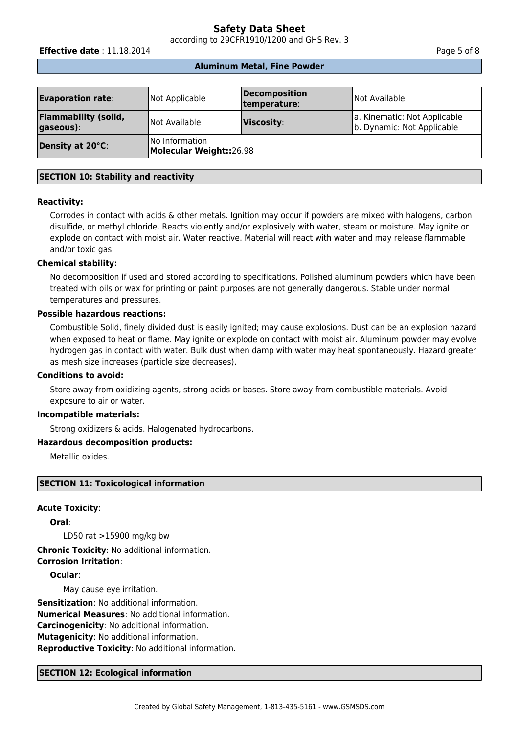according to 29CFR1910/1200 and GHS Rev. 3

**Effective date** : 11.18.2014 **Page 5 of 8** 

#### **Aluminum Metal, Fine Powder**

| <b>Evaporation rate:</b>                 | Not Applicable                            | <b>Decomposition</b><br>temperature: | Not Available                                              |
|------------------------------------------|-------------------------------------------|--------------------------------------|------------------------------------------------------------|
| <b>Flammability (solid,</b><br>gaseous): | Not Available                             | Viscosity:                           | a. Kinematic: Not Applicable<br>b. Dynamic: Not Applicable |
| Density at 20°C:                         | No Information<br>Molecular Weight::26.98 |                                      |                                                            |

# **SECTION 10: Stability and reactivity**

#### **Reactivity:**

Corrodes in contact with acids & other metals. Ignition may occur if powders are mixed with halogens, carbon disulfide, or methyl chloride. Reacts violently and/or explosively with water, steam or moisture. May ignite or explode on contact with moist air. Water reactive. Material will react with water and may release flammable and/or toxic gas.

#### **Chemical stability:**

No decomposition if used and stored according to specifications. Polished aluminum powders which have been treated with oils or wax for printing or paint purposes are not generally dangerous. Stable under normal temperatures and pressures.

#### **Possible hazardous reactions:**

Combustible Solid, finely divided dust is easily ignited; may cause explosions. Dust can be an explosion hazard when exposed to heat or flame. May ignite or explode on contact with moist air. Aluminum powder may evolve hydrogen gas in contact with water. Bulk dust when damp with water may heat spontaneously. Hazard greater as mesh size increases (particle size decreases).

# **Conditions to avoid:**

Store away from oxidizing agents, strong acids or bases. Store away from combustible materials. Avoid exposure to air or water.

#### **Incompatible materials:**

Strong oxidizers & acids. Halogenated hydrocarbons.

# **Hazardous decomposition products:**

Metallic oxides.

#### **SECTION 11: Toxicological information**

#### **Acute Toxicity**:

**Oral**:

LD50 rat >15900 mg/kg bw

# **Chronic Toxicity**: No additional information.

**Corrosion Irritation**:

**Ocular**:

May cause eye irritation.

**Sensitization**: No additional information. **Numerical Measures**: No additional information. **Carcinogenicity**: No additional information. **Mutagenicity**: No additional information. **Reproductive Toxicity**: No additional information.

#### **SECTION 12: Ecological information**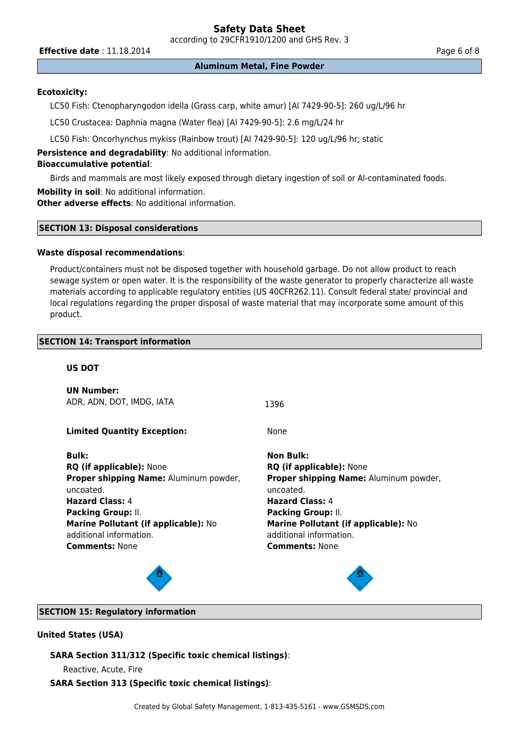according to 29CFR1910/1200 and GHS Rev. 3

**Effective date** : 11.18.2014 **Page 6 of 8** 

**Aluminum Metal, Fine Powder**

# **Ecotoxicity:**

LC50 Fish: Ctenopharyngodon idella (Grass carp, white amur) [Al 7429-90-5]: 260 ug/L/96 hr

LC50 Crustacea: Daphnia magna (Water flea) [Al 7429-90-5]: 2.6 mg/L/24 hr

LC50 Fish: Oncorhynchus mykiss (Rainbow trout) [Al 7429-90-5]: 120 ug/L/96 hr; static

**Persistence and degradability**: No additional information.

# **Bioaccumulative potential**:

Birds and mammals are most likely exposed through dietary ingestion of soil or Al-contaminated foods.

**Mobility in soil**: No additional information.

**Other adverse effects**: No additional information.

# **SECTION 13: Disposal considerations**

#### **Waste disposal recommendations**:

Product/containers must not be disposed together with household garbage. Do not allow product to reach sewage system or open water. It is the responsibility of the waste generator to properly characterize all waste materials according to applicable regulatory entities (US 40CFR262.11). Consult federal state/ provincial and local regulations regarding the proper disposal of waste material that may incorporate some amount of this product.

# **SECTION 14: Transport information**

# **US DOT**

**UN Number:** ADR, ADN, DOT, IMDG, IATA 1396

**Limited Quantity Exception:** None

**RQ (if applicable):** None **RQ (if applicable):** None **Proper shipping Name:** Aluminum powder, uncoated. **Hazard Class:** 4 **Hazard Class:** 4 **Packing Group:** II. **Packing Group:** II. **Marine Pollutant (if applicable):** No additional information. **Comments:** None **Comments:** None

**Bulk: Non Bulk: Proper shipping Name:** Aluminum powder, uncoated. **Marine Pollutant (if applicable):** No additional information.



# **SECTION 15: Regulatory information**

#### **United States (USA)**

# **SARA Section 311/312 (Specific toxic chemical listings)**:

Reactive, Acute, Fire

#### **SARA Section 313 (Specific toxic chemical listings)**: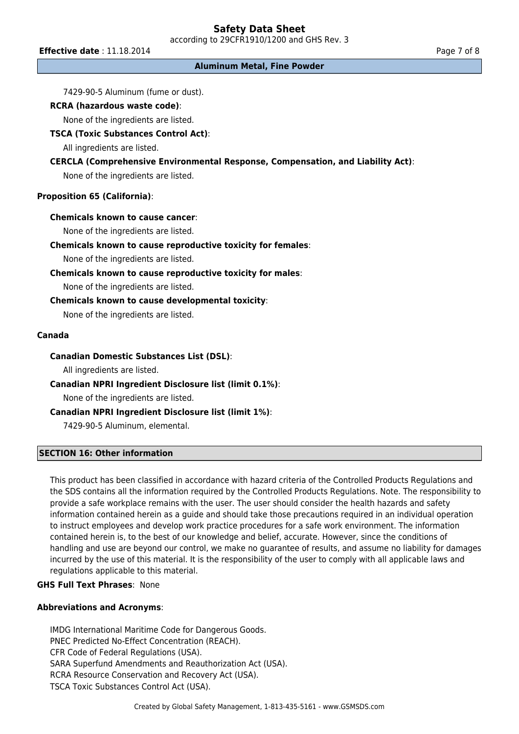according to 29CFR1910/1200 and GHS Rev. 3

**Effective date** : 11.18.2014 **Page 7 of 8** 

**Aluminum Metal, Fine Powder**

7429-90-5 Aluminum (fume or dust).

# **RCRA (hazardous waste code)**:

None of the ingredients are listed.

# **TSCA (Toxic Substances Control Act)**:

All ingredients are listed.

# **CERCLA (Comprehensive Environmental Response, Compensation, and Liability Act)**:

None of the ingredients are listed.

# **Proposition 65 (California)**:

#### **Chemicals known to cause cancer**:

None of the ingredients are listed.

# **Chemicals known to cause reproductive toxicity for females**:

None of the ingredients are listed.

# **Chemicals known to cause reproductive toxicity for males**:

None of the ingredients are listed.

# **Chemicals known to cause developmental toxicity**:

None of the ingredients are listed.

#### **Canada**

# **Canadian Domestic Substances List (DSL)**:

All ingredients are listed.

# **Canadian NPRI Ingredient Disclosure list (limit 0.1%)**:

None of the ingredients are listed.

# **Canadian NPRI Ingredient Disclosure list (limit 1%)**:

7429-90-5 Aluminum, elemental.

# **SECTION 16: Other information**

This product has been classified in accordance with hazard criteria of the Controlled Products Regulations and the SDS contains all the information required by the Controlled Products Regulations. Note. The responsibility to provide a safe workplace remains with the user. The user should consider the health hazards and safety information contained herein as a guide and should take those precautions required in an individual operation to instruct employees and develop work practice procedures for a safe work environment. The information contained herein is, to the best of our knowledge and belief, accurate. However, since the conditions of handling and use are beyond our control, we make no guarantee of results, and assume no liability for damages incurred by the use of this material. It is the responsibility of the user to comply with all applicable laws and regulations applicable to this material.

# **GHS Full Text Phrases**: None

# **Abbreviations and Acronyms**:

IMDG International Maritime Code for Dangerous Goods. PNEC Predicted No-Effect Concentration (REACH). CFR Code of Federal Regulations (USA). SARA Superfund Amendments and Reauthorization Act (USA). RCRA Resource Conservation and Recovery Act (USA). TSCA Toxic Substances Control Act (USA).